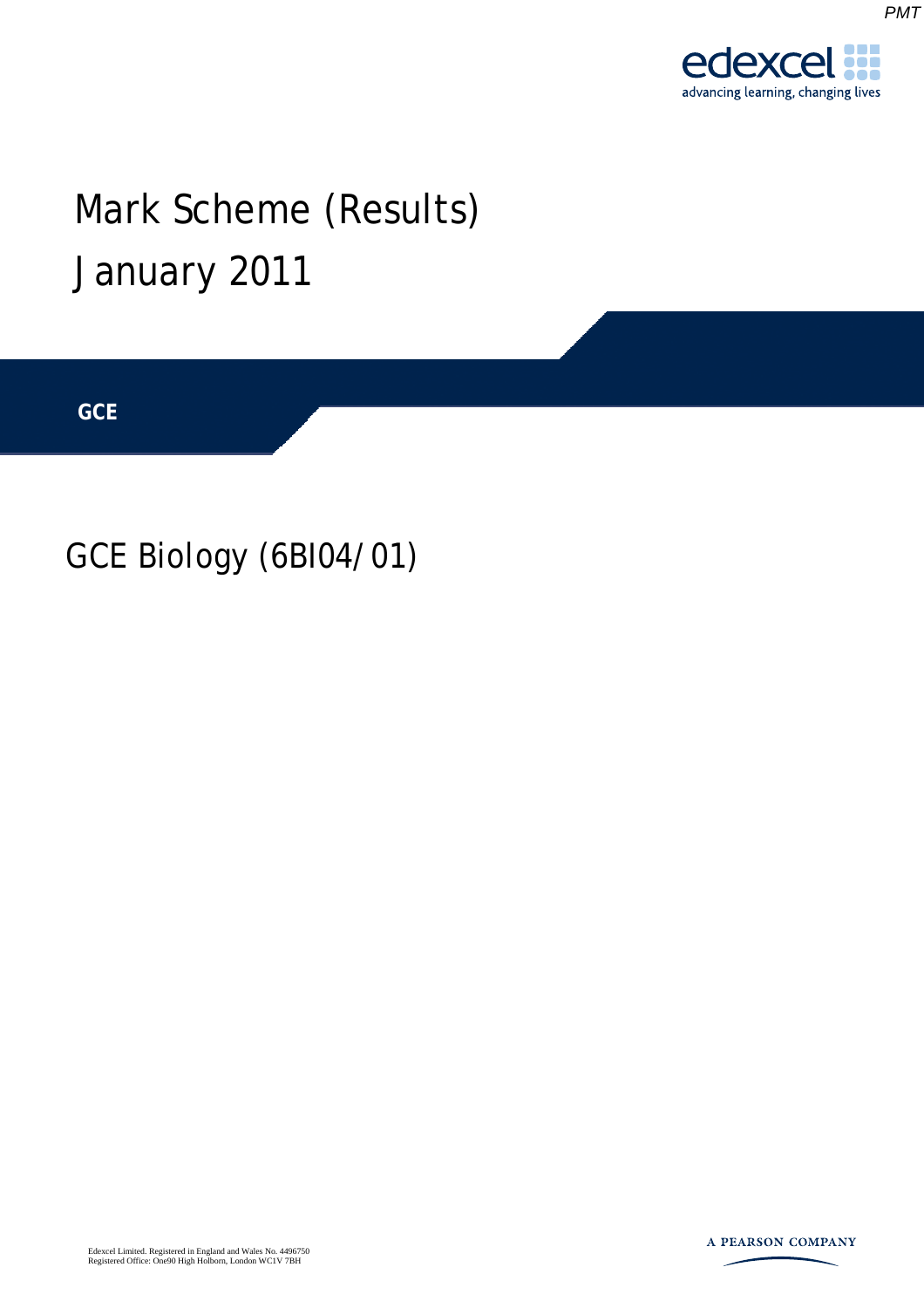*PMT*

# Mark Scheme (Results) January 2011

**GCE** 

# GCE Biology (6BI04/01)

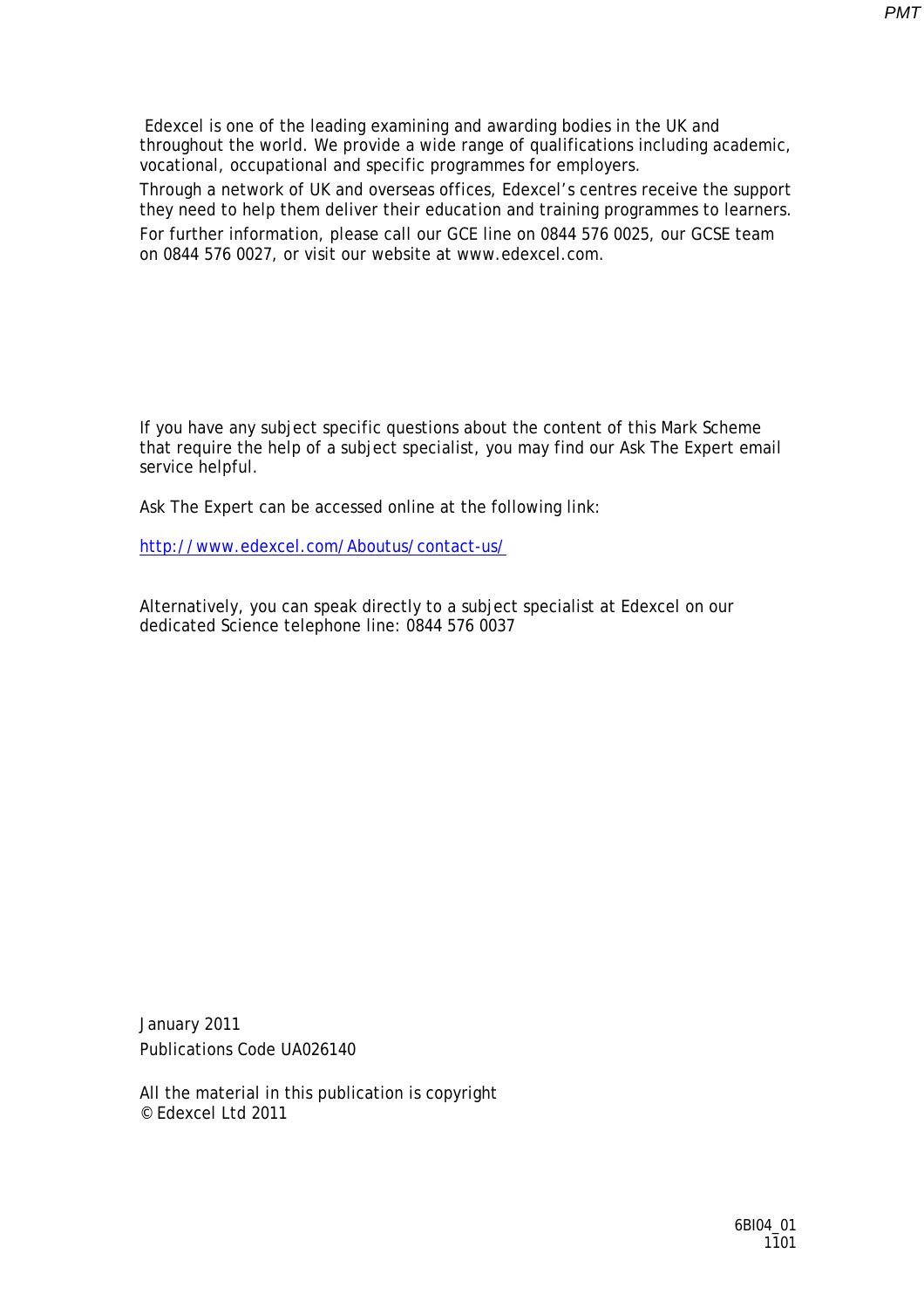*PMT*

 Edexcel is one of the leading examining and awarding bodies in the UK and throughout the world. We provide a wide range of qualifications including academic, vocational, occupational and specific programmes for employers.

Through a network of UK and overseas offices, Edexcel's centres receive the support they need to help them deliver their education and training programmes to learners. For further information, please call our GCE line on 0844 576 0025, our GCSE team on 0844 576 0027, or visit our website at www.edexcel.com.

If you have any subject specific questions about the content of this Mark Scheme that require the help of a subject specialist, you may find our Ask The Expert email service helpful.

Ask The Expert can be accessed online at the following link:

http://www.edexcel.com/Aboutus/contact-us/

Alternatively, you can speak directly to a subject specialist at Edexcel on our dedicated Science telephone line: 0844 576 0037

January 2011 Publications Code UA026140

All the material in this publication is copyright © Edexcel Ltd 2011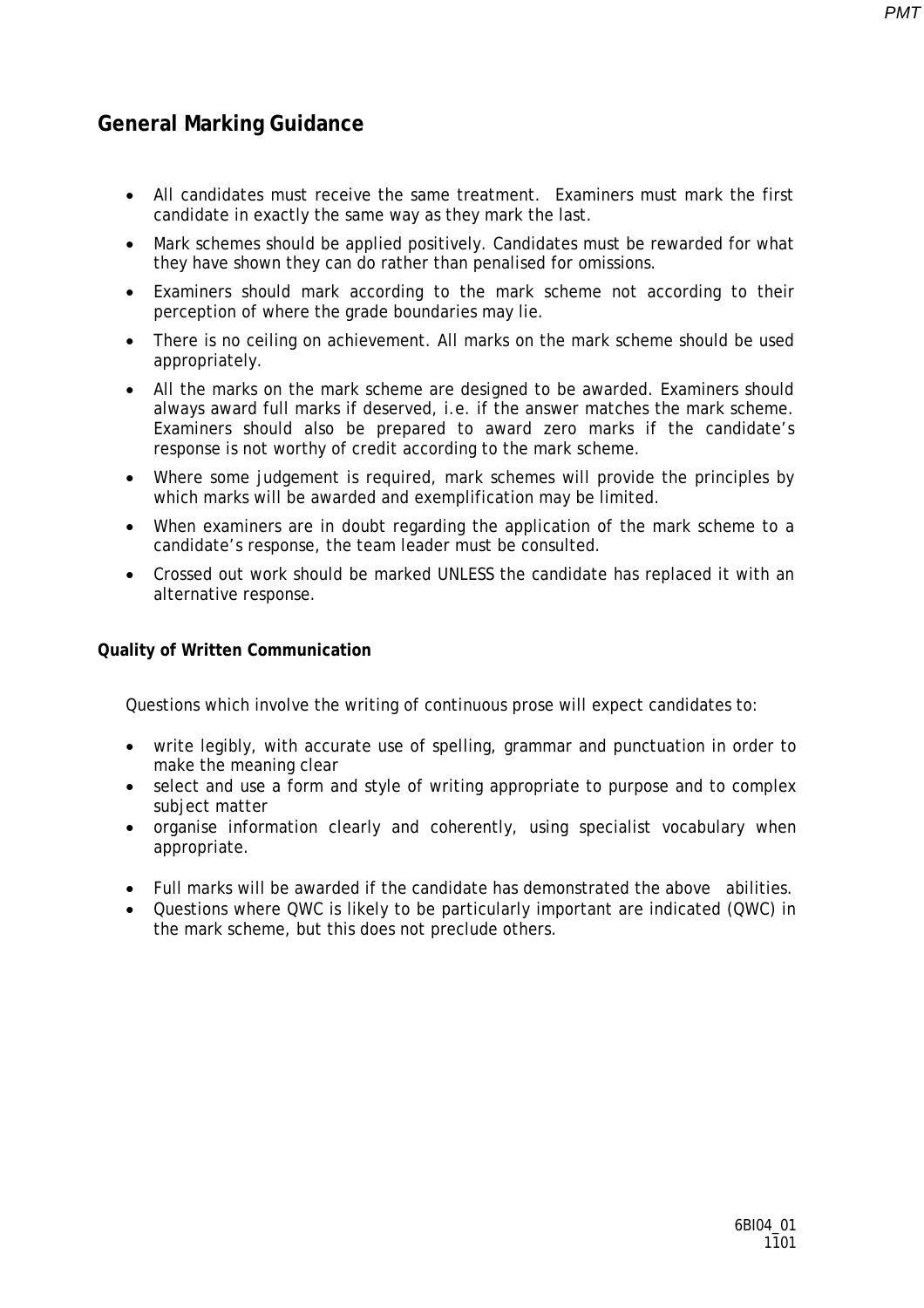### **General Marking Guidance**

- All candidates must receive the same treatment. Examiners must mark the first candidate in exactly the same way as they mark the last.
- Mark schemes should be applied positively. Candidates must be rewarded for what they have shown they can do rather than penalised for omissions.
- Examiners should mark according to the mark scheme not according to their perception of where the grade boundaries may lie.
- There is no ceiling on achievement. All marks on the mark scheme should be used appropriately.
- All the marks on the mark scheme are designed to be awarded. Examiners should always award full marks if deserved, i.e. if the answer matches the mark scheme. Examiners should also be prepared to award zero marks if the candidate's response is not worthy of credit according to the mark scheme.
- Where some judgement is required, mark schemes will provide the principles by which marks will be awarded and exemplification may be limited.
- When examiners are in doubt regarding the application of the mark scheme to a candidate's response, the team leader must be consulted.
- Crossed out work should be marked UNLESS the candidate has replaced it with an alternative response.

#### **Quality of Written Communication**

Questions which involve the writing of continuous prose will expect candidates to:

- write legibly, with accurate use of spelling, grammar and punctuation in order to make the meaning clear
- select and use a form and style of writing appropriate to purpose and to complex subject matter
- organise information clearly and coherently, using specialist vocabulary when appropriate.
- Full marks will be awarded if the candidate has demonstrated the above abilities.
- Questions where QWC is likely to be particularly important are indicated (QWC) in the mark scheme, but this does not preclude others*.*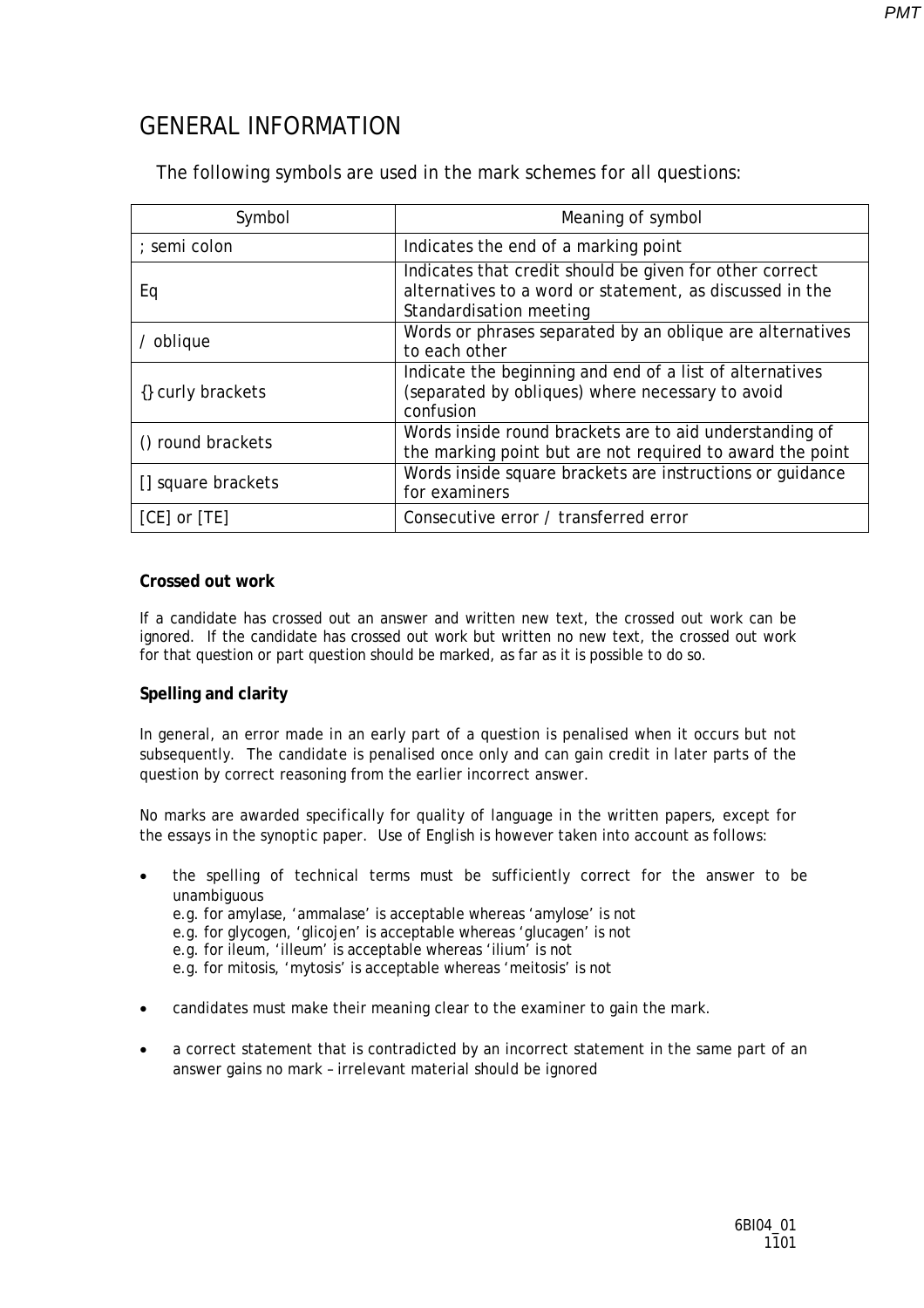## GENERAL INFORMATION

The following symbols are used in the mark schemes for all questions:

| Symbol             | Meaning of symbol                                                                                                                              |
|--------------------|------------------------------------------------------------------------------------------------------------------------------------------------|
| ; semi colon       | Indicates the end of a marking point                                                                                                           |
| Eq                 | Indicates that credit should be given for other correct<br>alternatives to a word or statement, as discussed in the<br>Standardisation meeting |
| / oblique          | Words or phrases separated by an oblique are alternatives<br>to each other                                                                     |
| {} curly brackets  | Indicate the beginning and end of a list of alternatives<br>(separated by obliques) where necessary to avoid<br>confusion                      |
| () round brackets  | Words inside round brackets are to aid understanding of<br>the marking point but are not required to award the point                           |
| [] square brackets | Words inside square brackets are instructions or quidance<br>for examiners                                                                     |
| $[CE]$ or $[TE]$   | Consecutive error / transferred error                                                                                                          |

#### **Crossed out work**

If a candidate has crossed out an answer and written new text, the crossed out work can be ignored. If the candidate has crossed out work but written no new text, the crossed out work for that question or part question should be marked, as far as it is possible to do so.

#### **Spelling and clarity**

In general, an error made in an early part of a question is penalised when it occurs but not subsequently. The candidate is penalised once only and can gain credit in later parts of the question by correct reasoning from the earlier incorrect answer.

No marks are awarded specifically for quality of language in the written papers, except for the essays in the synoptic paper. Use of English is however taken into account as follows:

• the spelling of technical terms must be sufficiently correct for the answer to be unambiguous e.g. for amylase, 'ammalase' is acceptable whereas 'amylose' is not e.g. for glycogen, 'glicojen' is acceptable whereas 'glucagen' is not e.g. for ileum, 'illeum' is acceptable whereas 'ilium' is not e.g. for mitosis, 'mytosis' is acceptable whereas 'meitosis' is not

- candidates must make their meaning clear to the examiner to gain the mark.
- a correct statement that is contradicted by an incorrect statement in the same part of an answer gains no mark – irrelevant material should be ignored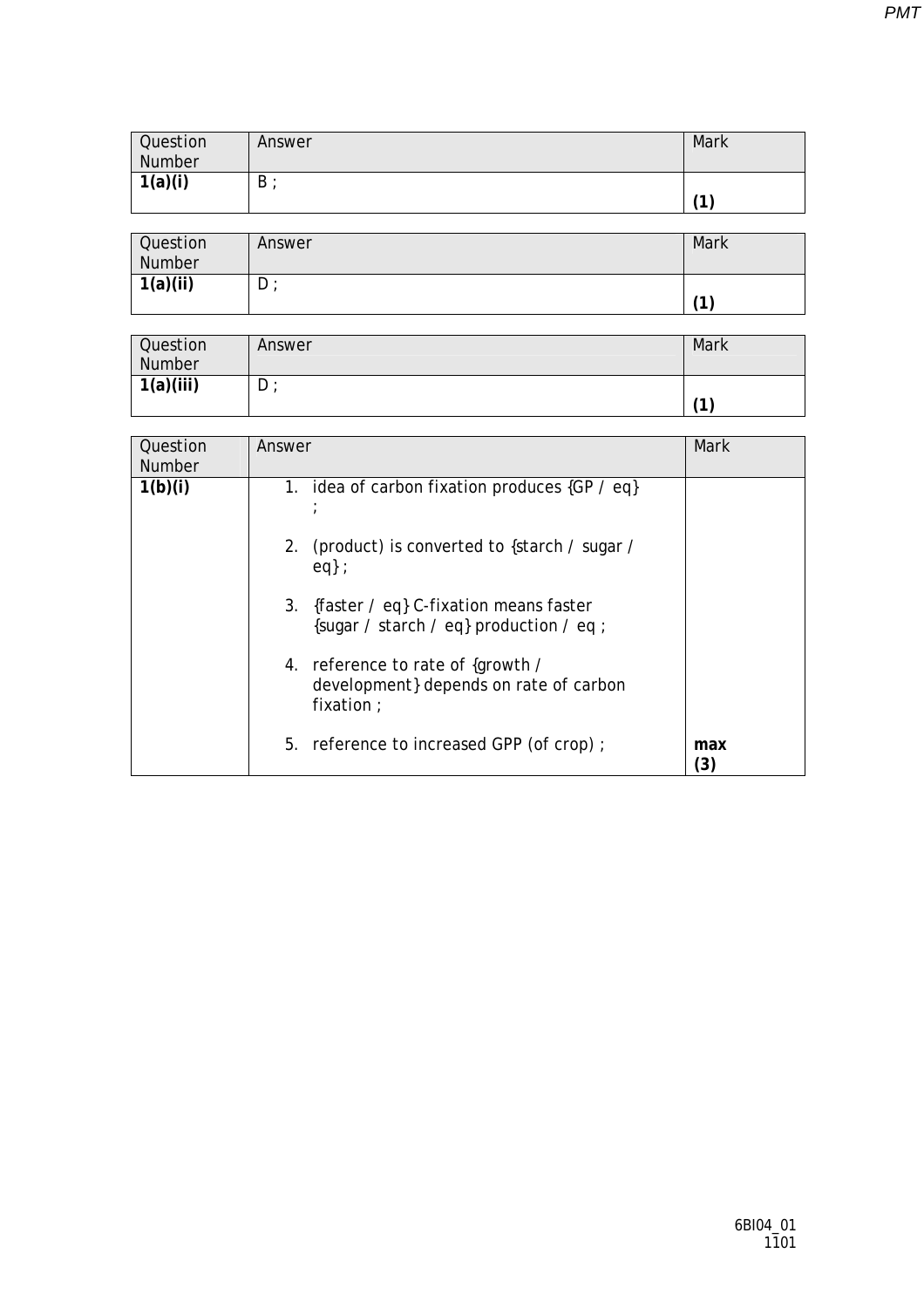| <b>Question</b><br>Number | Answer | Mark |
|---------------------------|--------|------|
| 1(a)(i)                   | B      | (1)  |

| Question<br>Number | Answer | Mark |
|--------------------|--------|------|
| 1(a)(ii)           | $D$ ;  | 71   |

| Question<br>Number | Answer | Mark |
|--------------------|--------|------|
| 1(a)(iii)          | $D$ ;  | (1)  |

| Question<br><b>Number</b> | Answer                                                                                    | Mark       |
|---------------------------|-------------------------------------------------------------------------------------------|------------|
| 1(b)(i)                   | 1. idea of carbon fixation produces {GP / eq}                                             |            |
|                           | 2. (product) is converted to {starch / sugar /<br>eq:                                     |            |
|                           | 3. {faster / eq} C-fixation means faster<br>{sugar / starch / eq} production / eq ;       |            |
|                           | 4. reference to rate of {growth /<br>development} depends on rate of carbon<br>fixation ; |            |
|                           | 5. reference to increased GPP (of crop);                                                  | max<br>(3) |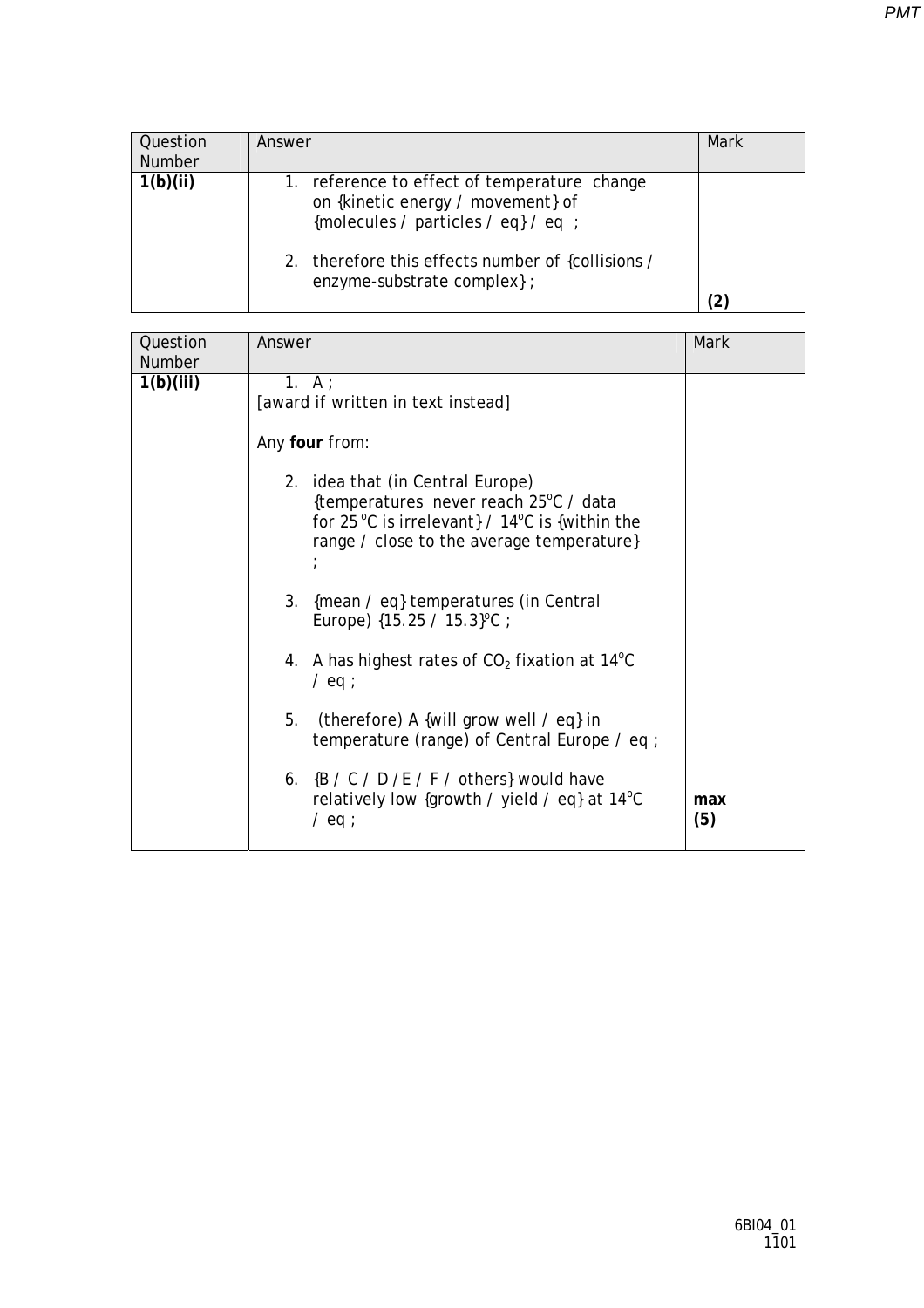| Question<br><b>Number</b> | Answer                                                                                                                                                                                                      | <b>Mark</b> |
|---------------------------|-------------------------------------------------------------------------------------------------------------------------------------------------------------------------------------------------------------|-------------|
| 1(b)(ii)                  | 1. reference to effect of temperature change<br>on {kinetic energy / movement} of<br>{molecules / particles / eq} / eq ;<br>2. therefore this effects number of {collisions /<br>enzyme-substrate complex}; |             |

| Question  | Answer                                                                                                              | Mark       |
|-----------|---------------------------------------------------------------------------------------------------------------------|------------|
| Number    |                                                                                                                     |            |
| 1(b)(iii) | 1. $A$ :                                                                                                            |            |
|           | [award if written in text instead]                                                                                  |            |
|           | Any four from:                                                                                                      |            |
|           | 2. idea that (in Central Europe)                                                                                    |            |
|           | {temperatures never reach 25°C / data                                                                               |            |
|           | for 25 °C is irrelevant} / $14$ °C is {within the                                                                   |            |
|           | range / close to the average temperature}                                                                           |            |
|           |                                                                                                                     |            |
|           | 3.<br>{mean / eq} temperatures (in Central<br>Europe) $\{15.25 / 15.3\}^{\circ}\text{C}$ ;                          |            |
|           | 4. A has highest rates of $CO2$ fixation at 14 <sup>o</sup> C<br>$/$ eq ;                                           |            |
|           | 5.<br>(therefore) A {will grow well / eq} in<br>temperature (range) of Central Europe / eq ;                        |            |
|           | 6. $\{B / C / D / E / F /$ others} would have<br>relatively low {growth / yield / eq} at $14^{\circ}$ C<br>$/$ eq ; | max<br>(5) |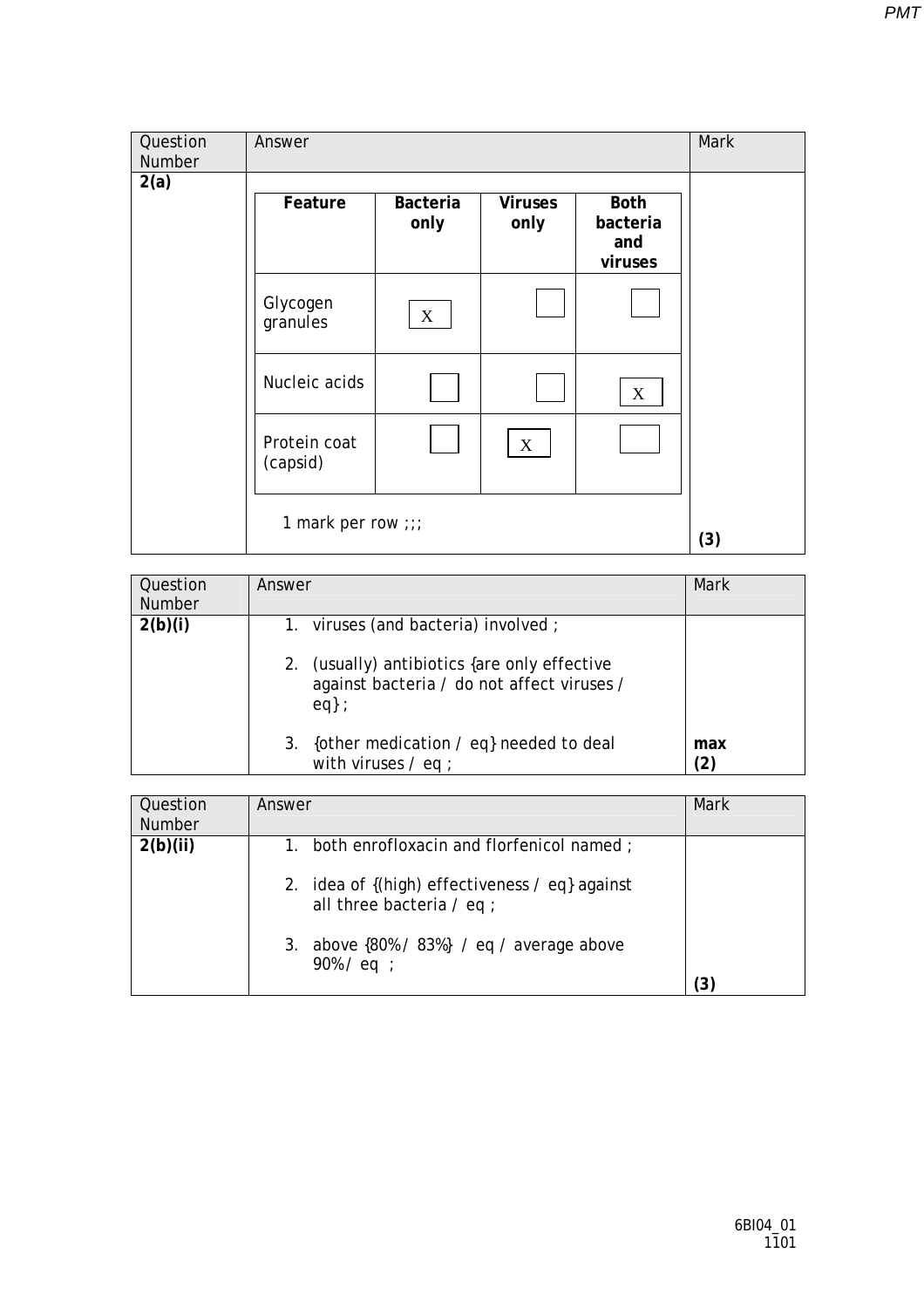| Question<br>Number | Answer                   |                  |                        |                                | Mark |
|--------------------|--------------------------|------------------|------------------------|--------------------------------|------|
| 2(a)               | Feature                  | Bacteria<br>only | <b>Viruses</b><br>only | <b>Both</b><br>bacteria<br>and |      |
|                    | Glycogen<br>granules     | $\mathbf X$      |                        | viruses                        |      |
|                    | Nucleic acids            |                  |                        | $\mathbf X$                    |      |
|                    | Protein coat<br>(capsid) |                  | $\boldsymbol{X}$       |                                |      |
|                    | 1 mark per row ;;;       |                  |                        |                                | (3)  |

| Question<br><b>Number</b> | Answer                                                                                                                                      | Mark       |
|---------------------------|---------------------------------------------------------------------------------------------------------------------------------------------|------------|
| 2(b)(i)                   | 1. viruses (and bacteria) involved;<br>(usually) antibiotics {are only effective<br>2.<br>against bacteria / do not affect viruses /<br>eq: |            |
|                           | {other medication / eq} needed to deal<br>3.<br>with viruses $/$ eq ;                                                                       | max<br>(2) |

| Question<br><b>Number</b> | Answer                                                                           | Mark |
|---------------------------|----------------------------------------------------------------------------------|------|
| 2(b)(ii)                  | both enrofloxacin and florfenicol named;<br>1.                                   |      |
|                           | 2. idea of {(high) effectiveness / eq} against<br>all three bacteria $\ell$ eq ; |      |
|                           | 3. above $\{80\% / 83\% \}$ / eq / average above<br>$90\%$ / eq ;                |      |
|                           |                                                                                  |      |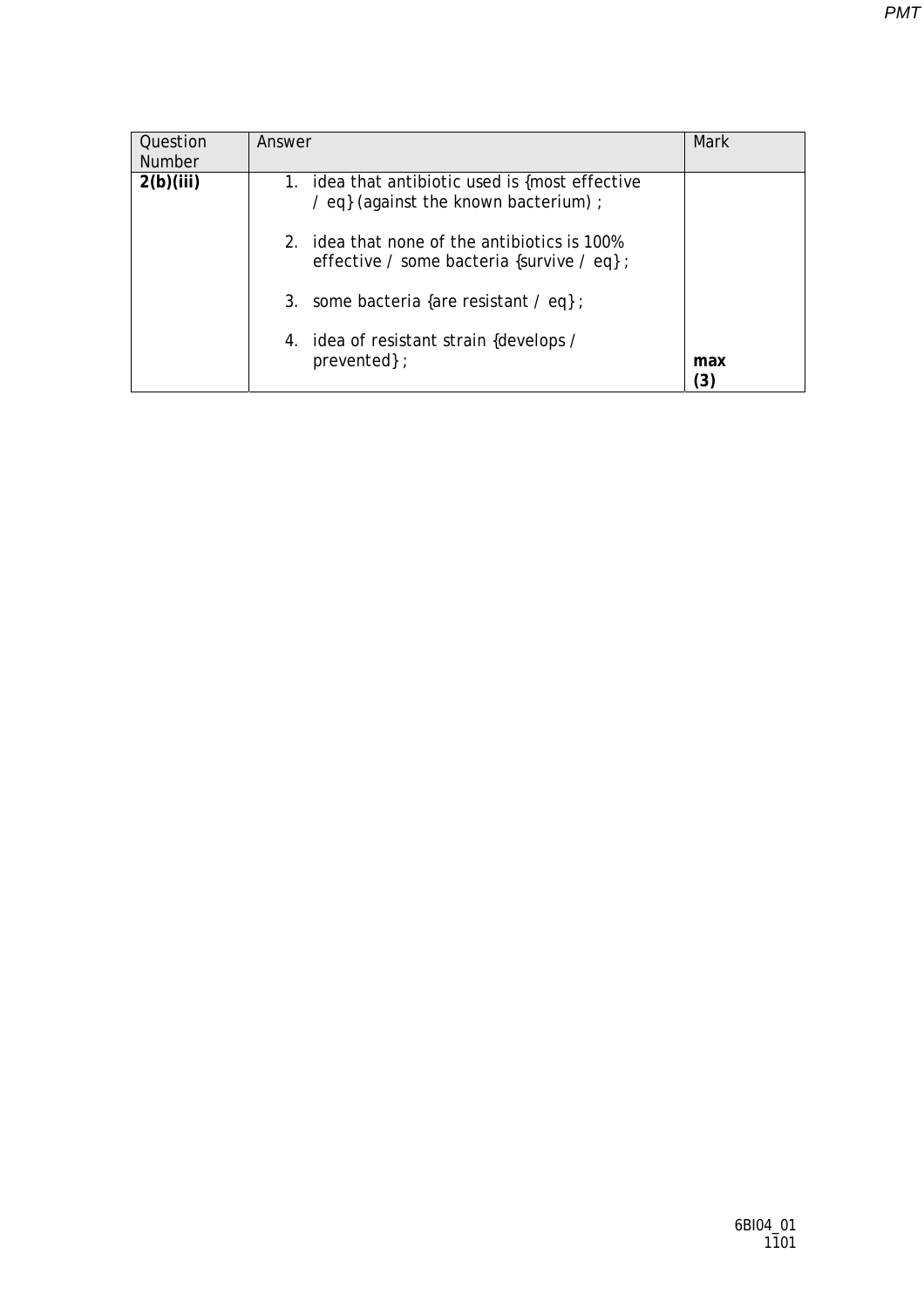| Question<br><b>Number</b> | Answer                                                                                             | Mark                     |
|---------------------------|----------------------------------------------------------------------------------------------------|--------------------------|
| 2(b)(iii)                 | 1. idea that antibiotic used is {most effective<br>/ eq} (against the known bacterium) ;           |                          |
|                           | idea that none of the antibiotics is 100%<br>$2_{-}$<br>effective / some bacteria {survive / eq} ; |                          |
|                           | 3. some bacteria {are resistant $\ell$ eq};                                                        |                          |
|                           | 4. idea of resistant strain {develops /<br>prevented };                                            | max<br>$\left[ 3\right]$ |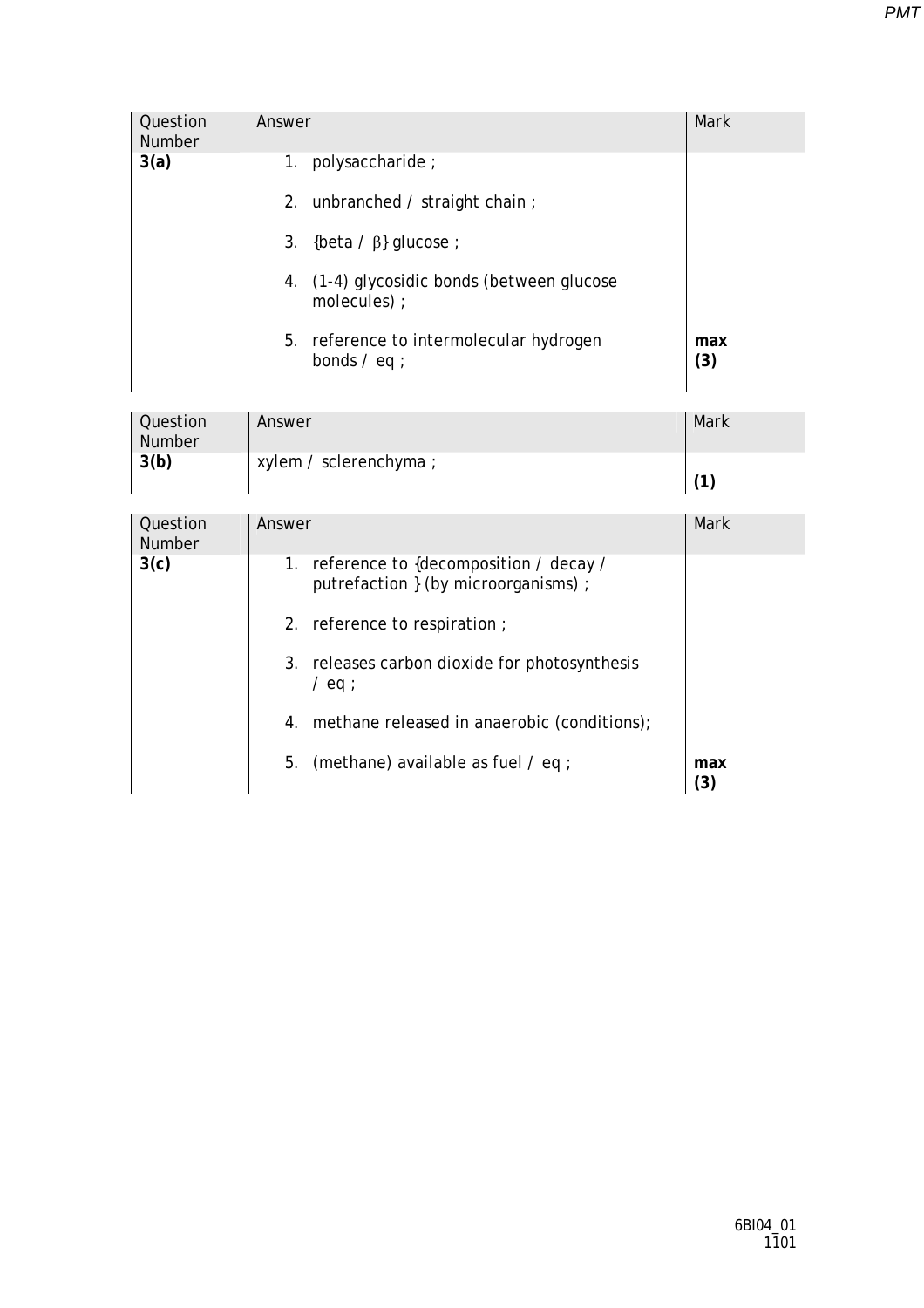| Question<br><b>Number</b> | Answer                                                     | Mark       |
|---------------------------|------------------------------------------------------------|------------|
| 3(a)                      | 1.<br>polysaccharide;                                      |            |
|                           | 2. unbranched / straight chain;                            |            |
|                           | 3. {beta $\beta$ } glucose ;                               |            |
|                           | 4. (1-4) glycosidic bonds (between glucose<br>molecules) ; |            |
|                           | 5. reference to intermolecular hydrogen<br>bonds $/$ eq ;  | max<br>(3) |

| Question      | Answer                 | Mark |
|---------------|------------------------|------|
| <b>Number</b> |                        |      |
| 3(b)          | xylem / sclerenchyma ; |      |
|               |                        | ٠,   |

| Question<br><b>Number</b> | Answer                                                                           | Mark       |
|---------------------------|----------------------------------------------------------------------------------|------------|
| 3(c)                      | 1. reference to {decomposition / decay /<br>putrefaction } (by microorganisms) ; |            |
|                           | 2. reference to respiration;                                                     |            |
|                           | 3. releases carbon dioxide for photosynthesis<br>$/$ eq ;                        |            |
|                           | 4. methane released in anaerobic (conditions);                                   |            |
|                           | 5.<br>(methane) available as fuel $\prime$ eq ;                                  | max<br>(3) |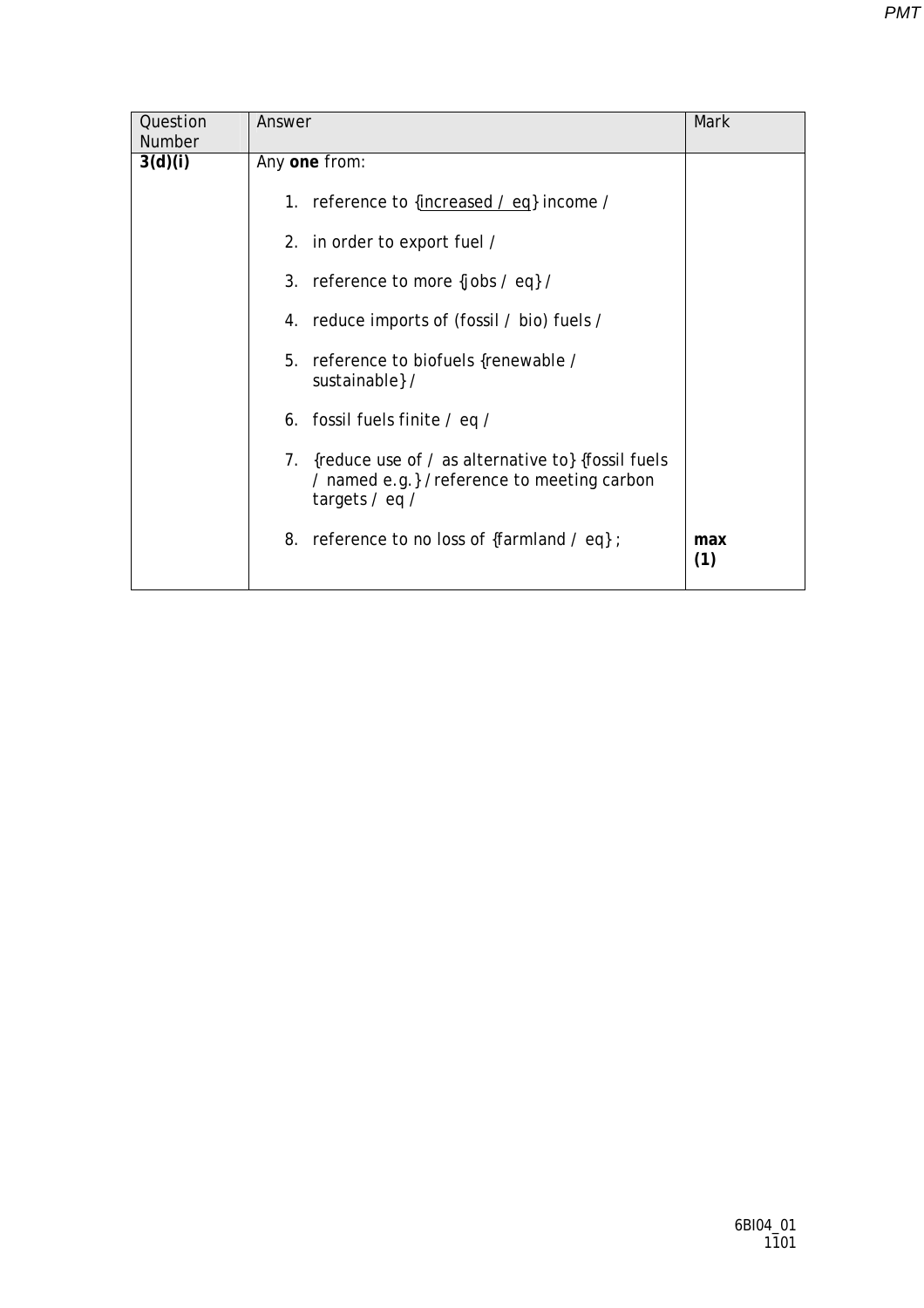| Question<br>Number | Answer                                                                                                                | Mark       |
|--------------------|-----------------------------------------------------------------------------------------------------------------------|------------|
| 3(d)(i)            | Any one from:                                                                                                         |            |
|                    | 1. reference to {increased / eq} income /                                                                             |            |
|                    | 2. in order to export fuel /                                                                                          |            |
|                    | 3. reference to more {jobs $\ell$ eq} $\ell$                                                                          |            |
|                    | 4. reduce imports of (fossil / bio) fuels /                                                                           |            |
|                    | 5. reference to biofuels {renewable /<br>sustainable } /                                                              |            |
|                    | 6. fossil fuels finite / eq /                                                                                         |            |
|                    | 7. {reduce use of / as alternative to} {fossil fuels<br>/ named e.g.} / reference to meeting carbon<br>targets / eq / |            |
|                    | 8. reference to no loss of {farmland / eq};                                                                           | max<br>(1) |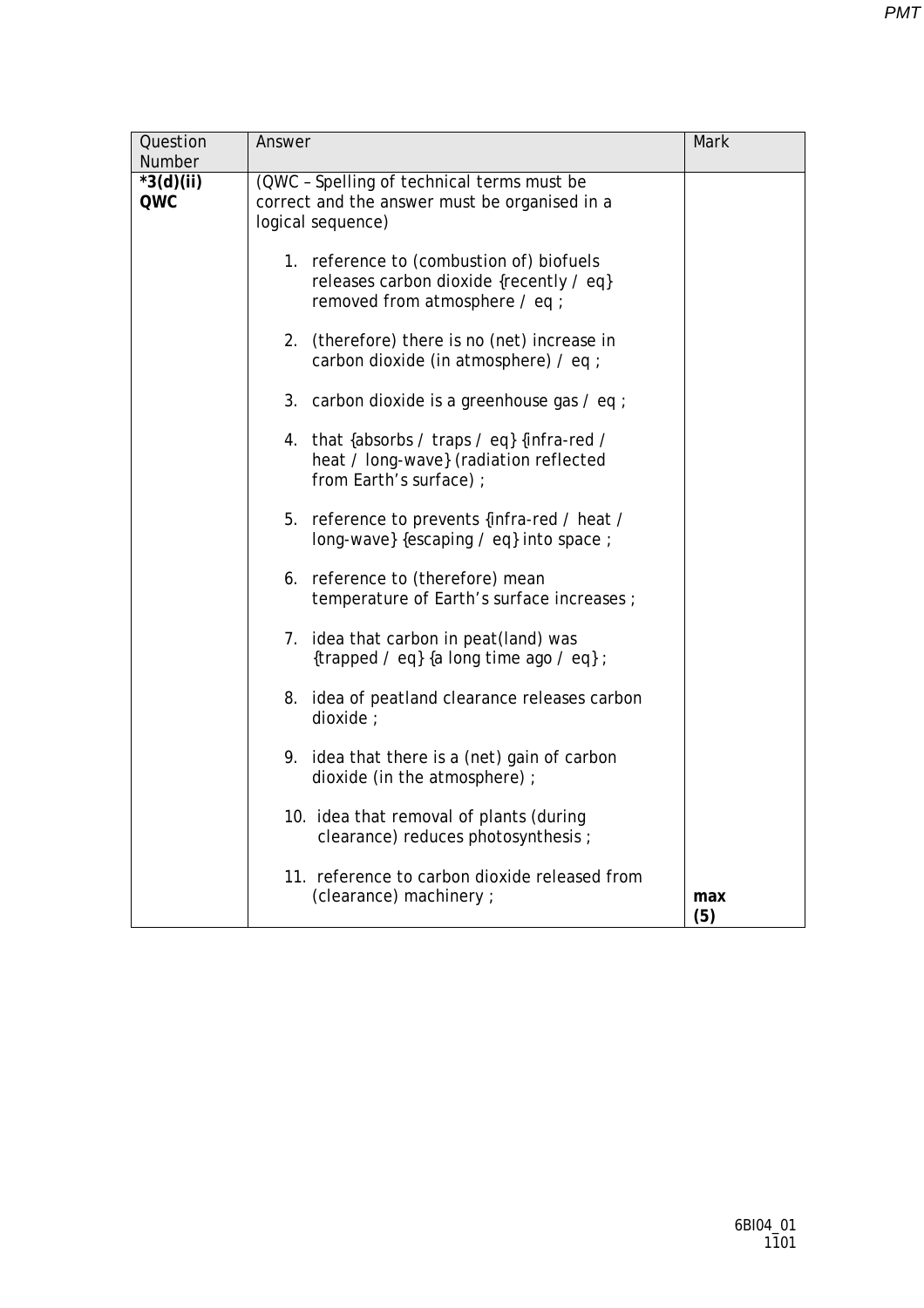| Question<br>Number | Answer                                                                                                                | Mark       |
|--------------------|-----------------------------------------------------------------------------------------------------------------------|------------|
| $*3(d)(ii)$<br>QWC | (QWC - Spelling of technical terms must be<br>correct and the answer must be organised in a<br>logical sequence)      |            |
|                    | 1. reference to (combustion of) biofuels<br>releases carbon dioxide {recently / eq}<br>removed from atmosphere / eq ; |            |
|                    | (therefore) there is no (net) increase in<br>2.<br>carbon dioxide (in atmosphere) / eq ;                              |            |
|                    | 3. carbon dioxide is a greenhouse gas / eq ;                                                                          |            |
|                    | 4. that {absorbs / traps / eq} {infra-red /<br>heat / long-wave} (radiation reflected<br>from Earth's surface);       |            |
|                    | 5.<br>reference to prevents {infra-red / heat /<br>long-wave} {escaping / eq} into space ;                            |            |
|                    | 6. reference to (therefore) mean<br>temperature of Earth's surface increases ;                                        |            |
|                    | 7. idea that carbon in peat(land) was<br>{trapped / eq} {a long time ago / eq} ;                                      |            |
|                    | 8. idea of peatland clearance releases carbon<br>dioxide :                                                            |            |
|                    | 9. idea that there is a (net) gain of carbon<br>dioxide (in the atmosphere) ;                                         |            |
|                    | 10. idea that removal of plants (during<br>clearance) reduces photosynthesis ;                                        |            |
|                    | 11. reference to carbon dioxide released from<br>(clearance) machinery ;                                              | max<br>(5) |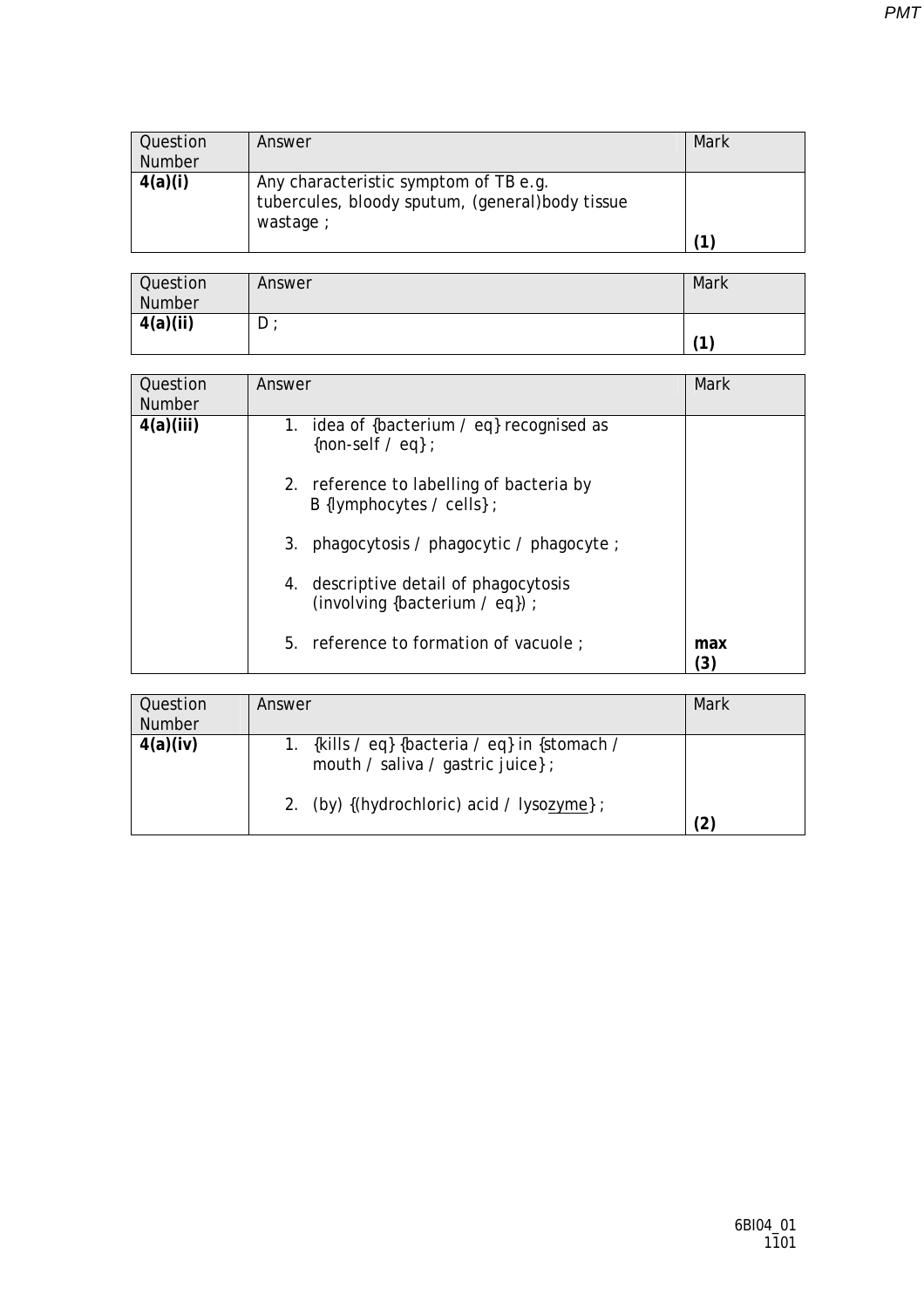| Question<br><b>Number</b> | Answer                                                                                                | Mark |
|---------------------------|-------------------------------------------------------------------------------------------------------|------|
| 4(a)(i)                   | Any characteristic symptom of TB e.g.<br>tubercules, bloody sputum, (general) body tissue<br>wastage; | (1)  |

| Question<br>Number | Answer | Mark       |
|--------------------|--------|------------|
| 4(a)(ii)           | $D$ :  | $\sqrt{4}$ |

| Question<br><b>Number</b> | Answer                                                                  | Mark       |
|---------------------------|-------------------------------------------------------------------------|------------|
| 4(a)(iii)                 | 1. idea of {bacterium / eq} recognised as<br>{non-self $\neq$ eq} ;     |            |
|                           | 2. reference to labelling of bacteria by<br>B {lymphocytes / cells} ;   |            |
|                           | 3. phagocytosis / phagocytic / phagocyte ;                              |            |
|                           | 4. descriptive detail of phagocytosis<br>(involving {bacterium / eq}) ; |            |
|                           | 5. reference to formation of vacuole ;                                  | max<br>(3) |

| Question      | Answer                                                                             | Mark |
|---------------|------------------------------------------------------------------------------------|------|
| <b>Number</b> |                                                                                    |      |
| 4(a)(iv)      | 1. {kills / eq} {bacteria / eq} in {stomach /<br>mouth / saliva / gastric juice} ; |      |
|               | 2. (by) {(hydrochloric) acid / lysozyme} ;                                         |      |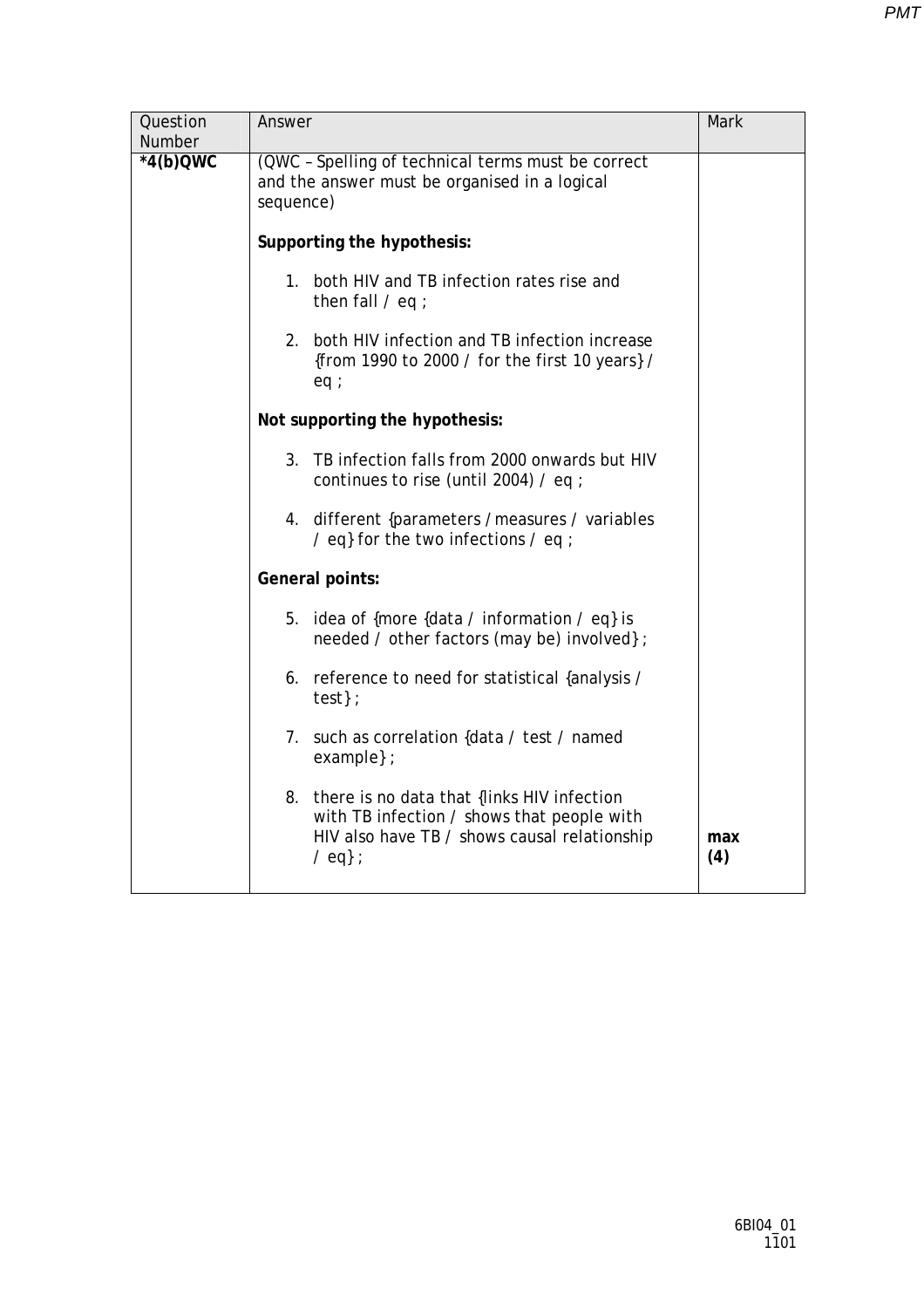| Question<br>Number | Answer                                                                                                                                                        | Mark       |
|--------------------|---------------------------------------------------------------------------------------------------------------------------------------------------------------|------------|
| $*4(b)QWC$         | (QWC - Spelling of technical terms must be correct<br>and the answer must be organised in a logical<br>sequence)                                              |            |
|                    | Supporting the hypothesis:                                                                                                                                    |            |
|                    | 1. both HIV and TB infection rates rise and<br>then fall $/$ eq ;                                                                                             |            |
|                    | 2. both HIV infection and TB infection increase<br>{from 1990 to 2000 / for the first 10 years} /<br>eq:                                                      |            |
|                    | Not supporting the hypothesis:                                                                                                                                |            |
|                    | TB infection falls from 2000 onwards but HIV<br>3.<br>continues to rise (until 2004) / eq ;                                                                   |            |
|                    | 4. different {parameters / measures / variables<br>/ eq} for the two infections / eq ;                                                                        |            |
|                    | General points:                                                                                                                                               |            |
|                    | 5. idea of {more {data / information / eq} is<br>needed / other factors (may be) involved};                                                                   |            |
|                    | 6. reference to need for statistical {analysis /<br>test                                                                                                      |            |
|                    | 7. such as correlation {data / test / named<br>example $};$                                                                                                   |            |
|                    | 8. there is no data that {links HIV infection<br>with TB infection / shows that people with<br>HIV also have TB / shows causal relationship<br>$\angle$ eq} ; | max<br>(4) |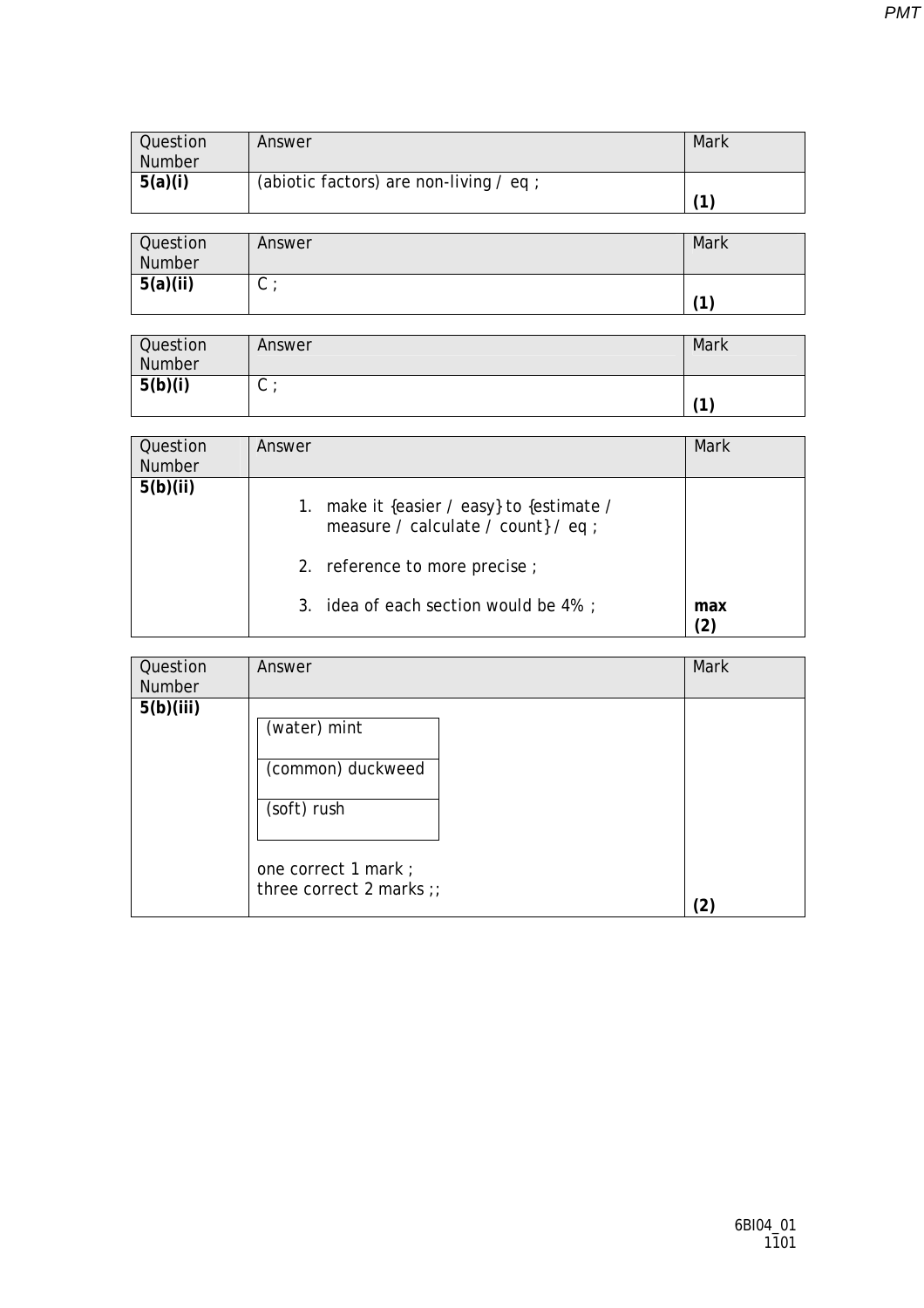| Question<br><b>Number</b> | Answer                                  | Mark |
|---------------------------|-----------------------------------------|------|
| 5(a)(i)                   | (abiotic factors) are non-living / eq ; | 1    |

| Question<br>Number | Answer | Mark       |
|--------------------|--------|------------|
| 5(a)(ii)           | ⌒<br>◡ | $\sqrt{4}$ |

| Question<br>Number | Answer | Mark |
|--------------------|--------|------|
| 5(b)(i)            | ◡      | 71   |

| Question<br><b>Number</b> | Answer |                                                                               | Mark |
|---------------------------|--------|-------------------------------------------------------------------------------|------|
| 5(b)(ii)                  | 1.     | make it {easier / easy} to {estimate /<br>measure / calculate / count} / eq ; |      |
|                           |        | 2. reference to more precise ;                                                |      |
|                           |        | 3. idea of each section would be 4%;                                          | max  |

| Question<br>Number | Answer                                                                   | Mark |
|--------------------|--------------------------------------------------------------------------|------|
| 5(b)(iii)          | (water) mint<br>(common) duckweed<br>(soft) rush<br>one correct 1 mark ; |      |
|                    | three correct 2 marks $\gamma$                                           | ′2)  |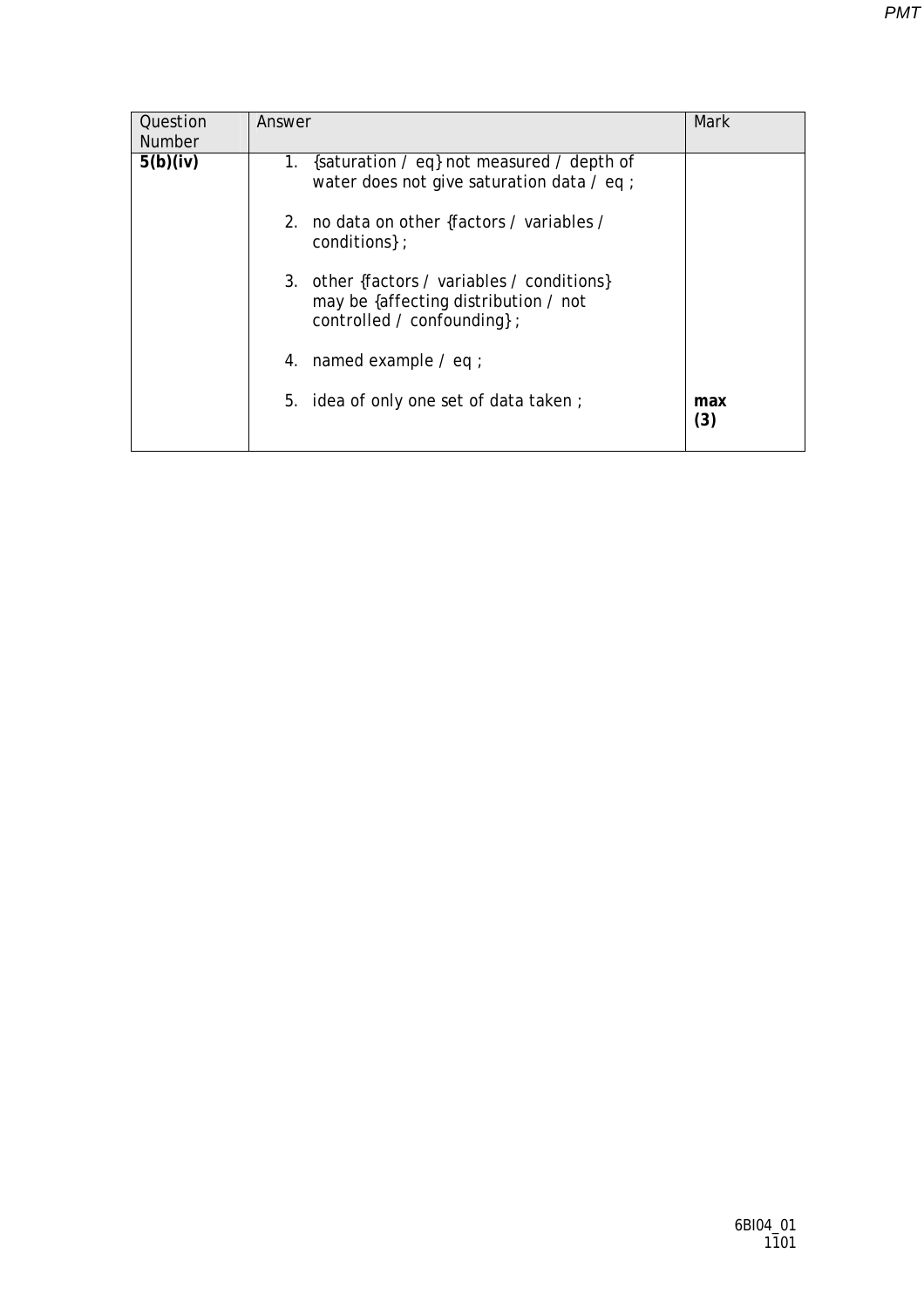| Question<br><b>Number</b> | Answer                                                                                                             | Mark       |
|---------------------------|--------------------------------------------------------------------------------------------------------------------|------------|
| 5(b)(iv)                  | {saturation / eq} not measured / depth of<br>1.<br>water does not give saturation data $\ell$ eq ;                 |            |
|                           | 2. no data on other {factors / variables /<br>conditions };                                                        |            |
|                           | 3. other {factors / variables / conditions}<br>may be {affecting distribution / not<br>controlled / confounding }; |            |
|                           | 4. named example $\ell$ eq ;                                                                                       |            |
|                           | 5. idea of only one set of data taken;                                                                             | max<br>(3) |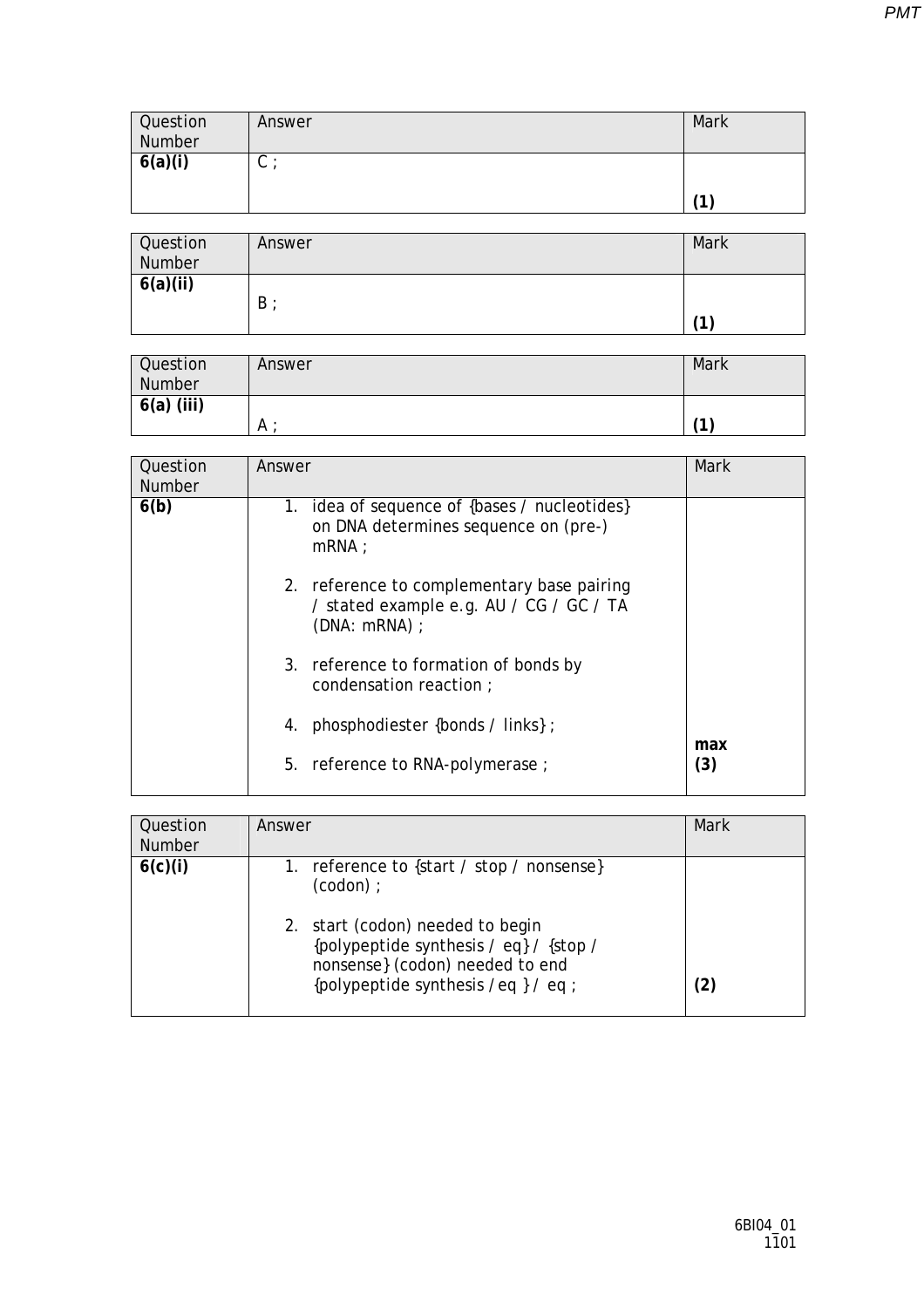| <b>Question</b><br>Number | Answer | Mark |
|---------------------------|--------|------|
| 6(a)(i)                   | ⌒<br>◡ |      |
|                           |        | 4    |

| Question<br>Number    | Answer | <b>Mark</b> |
|-----------------------|--------|-------------|
| $\overline{6(a)(ii)}$ | B      | 11          |

| Question<br>Number | Answer | Mark |
|--------------------|--------|------|
| $6(a)$ (iii)       | A      | 11   |

| Question<br><b>Number</b> | Answer                                                                                               | Mark       |
|---------------------------|------------------------------------------------------------------------------------------------------|------------|
| 6(b)                      | 1. idea of sequence of {bases / nucleotides}<br>on DNA determines sequence on (pre-)<br>$mRNA$ :     |            |
|                           | 2. reference to complementary base pairing<br>/ stated example e.g. AU / CG / GC / TA<br>(DNA: mRNA) |            |
|                           | 3. reference to formation of bonds by<br>condensation reaction ;                                     |            |
|                           | phosphodiester {bonds / links};<br>4.                                                                |            |
|                           | 5. reference to RNA-polymerase ;                                                                     | max<br>(3) |

| Question<br><b>Number</b> | Answer                                                                                                                                                                                                           | Mark |
|---------------------------|------------------------------------------------------------------------------------------------------------------------------------------------------------------------------------------------------------------|------|
| 6(c)(i)                   | 1. reference to {start / stop / nonsense}<br>$(codon)$ :<br>2. start (codon) needed to begin<br>{polypeptide synthesis / eq} / {stop /<br>nonsense} (codon) needed to end<br>{polypeptide synthesis /eq } / eq ; | (2)  |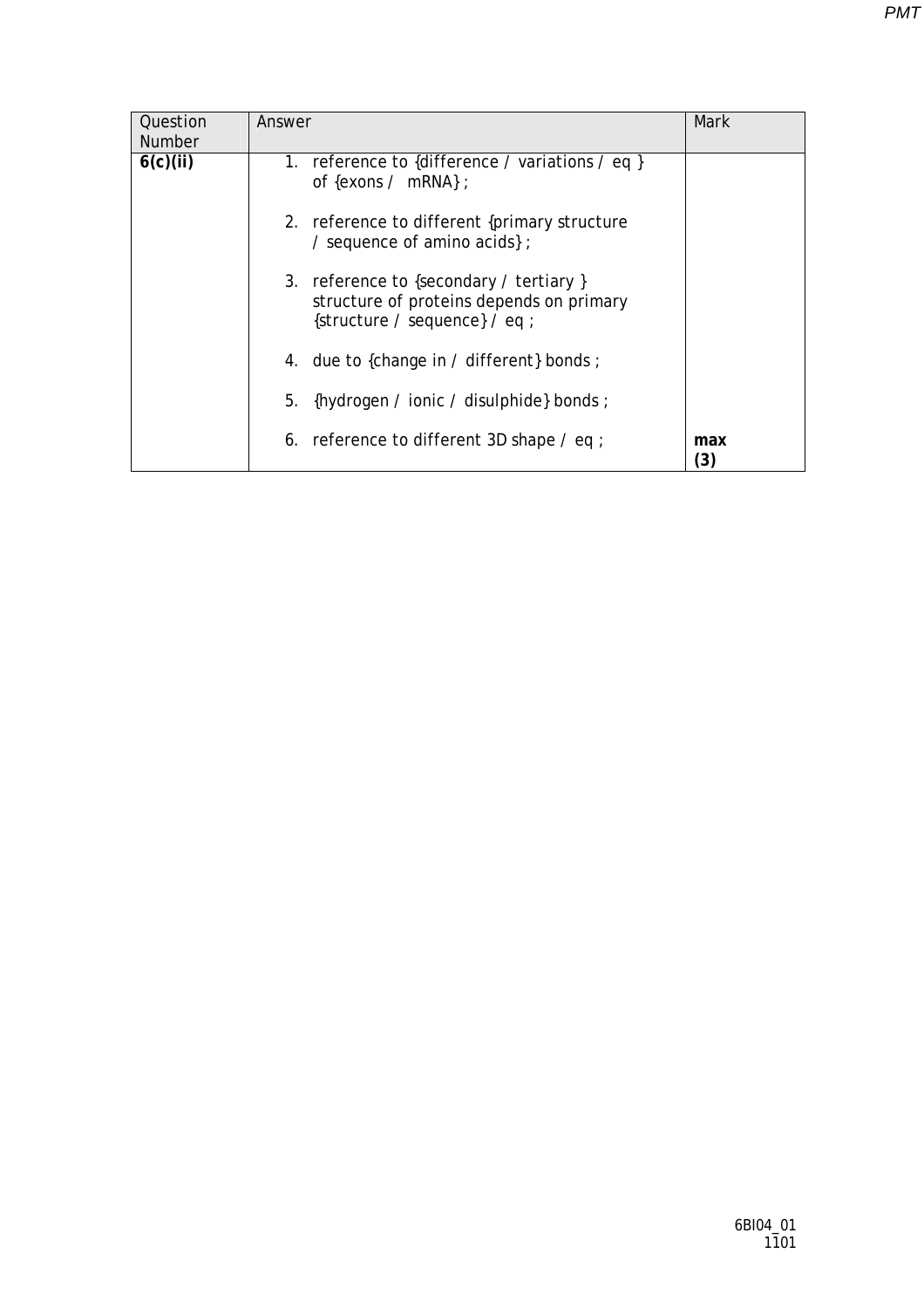| Question<br><b>Number</b> | Answer                                                                                                               | Mark       |
|---------------------------|----------------------------------------------------------------------------------------------------------------------|------------|
| 6(c)(ii)                  | 1. reference to {difference / variations / eq }<br>of {exons / mRNA} ;                                               |            |
|                           | 2. reference to different {primary structure<br>/ sequence of amino acids $\}$ ;                                     |            |
|                           | 3. reference to {secondary / tertiary }<br>structure of proteins depends on primary<br>{structure / sequence} / eq ; |            |
|                           | 4. due to {change in / different} bonds ;                                                                            |            |
|                           | {hydrogen / ionic / disulphide} bonds ;<br>5.                                                                        |            |
|                           | 6. reference to different 3D shape $\ell$ eq ;                                                                       | max<br>(3) |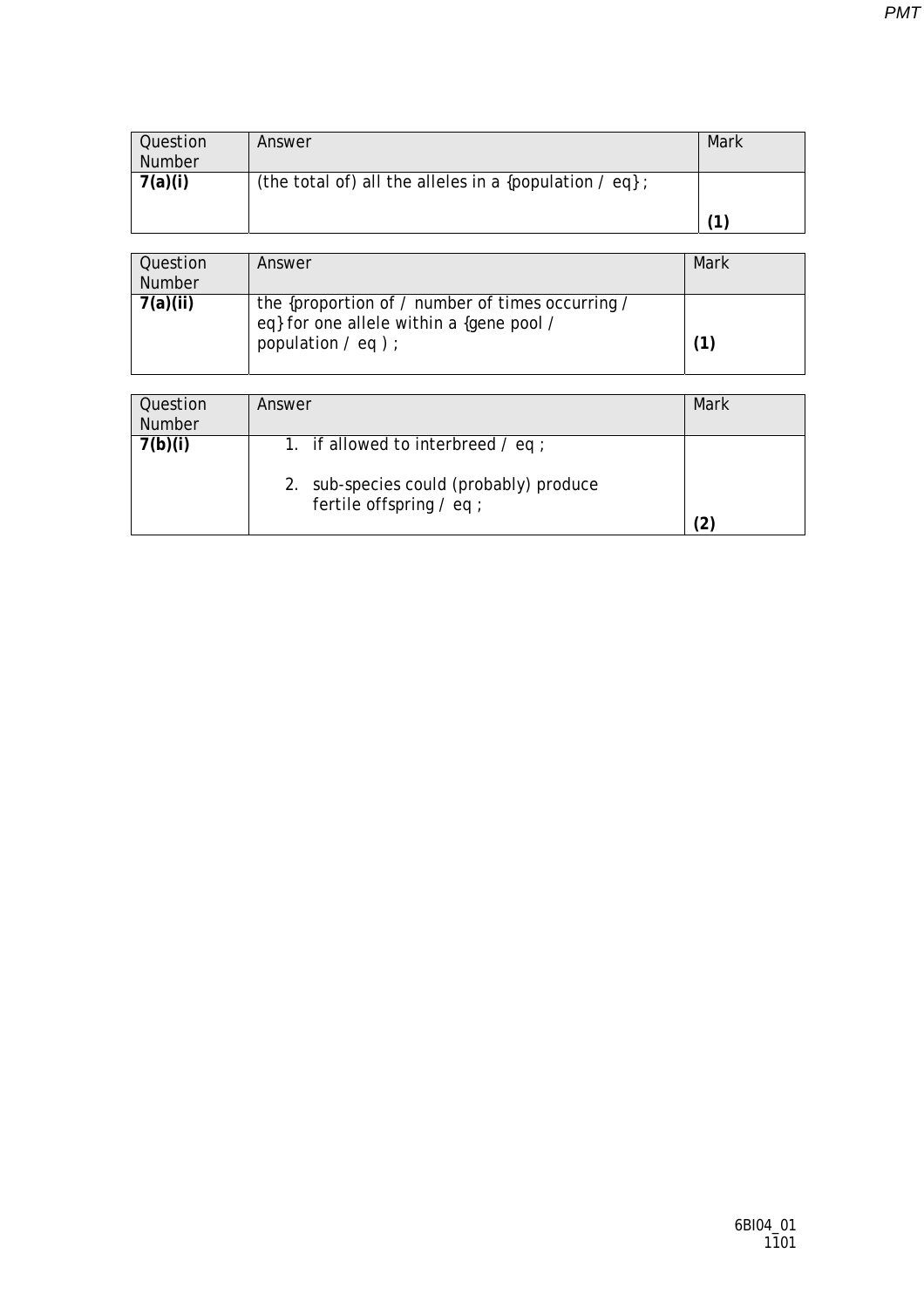| Question      | Answer                                                       | Mark |
|---------------|--------------------------------------------------------------|------|
| <b>Number</b> |                                                              |      |
| 7(a)(i)       | (the total of) all the alleles in a {population $\ell$ eq} ; |      |
|               |                                                              |      |
|               |                                                              | ′1∶  |

| Question<br>Number | Answer                                                                                                                     | Mark |
|--------------------|----------------------------------------------------------------------------------------------------------------------------|------|
| 7(a)(ii)           | the {proportion of / number of times occurring /<br>eq} for one allele within a {gene pool /<br>population $\ell$ eq $)$ ; |      |

| Question<br><b>Number</b> | Answer                                                                                                           | Mark |
|---------------------------|------------------------------------------------------------------------------------------------------------------|------|
| 7(b)(i)                   | 1. if allowed to interbreed $\ell$ eq ;<br>2. sub-species could (probably) produce<br>fertile offspring $/$ eq ; |      |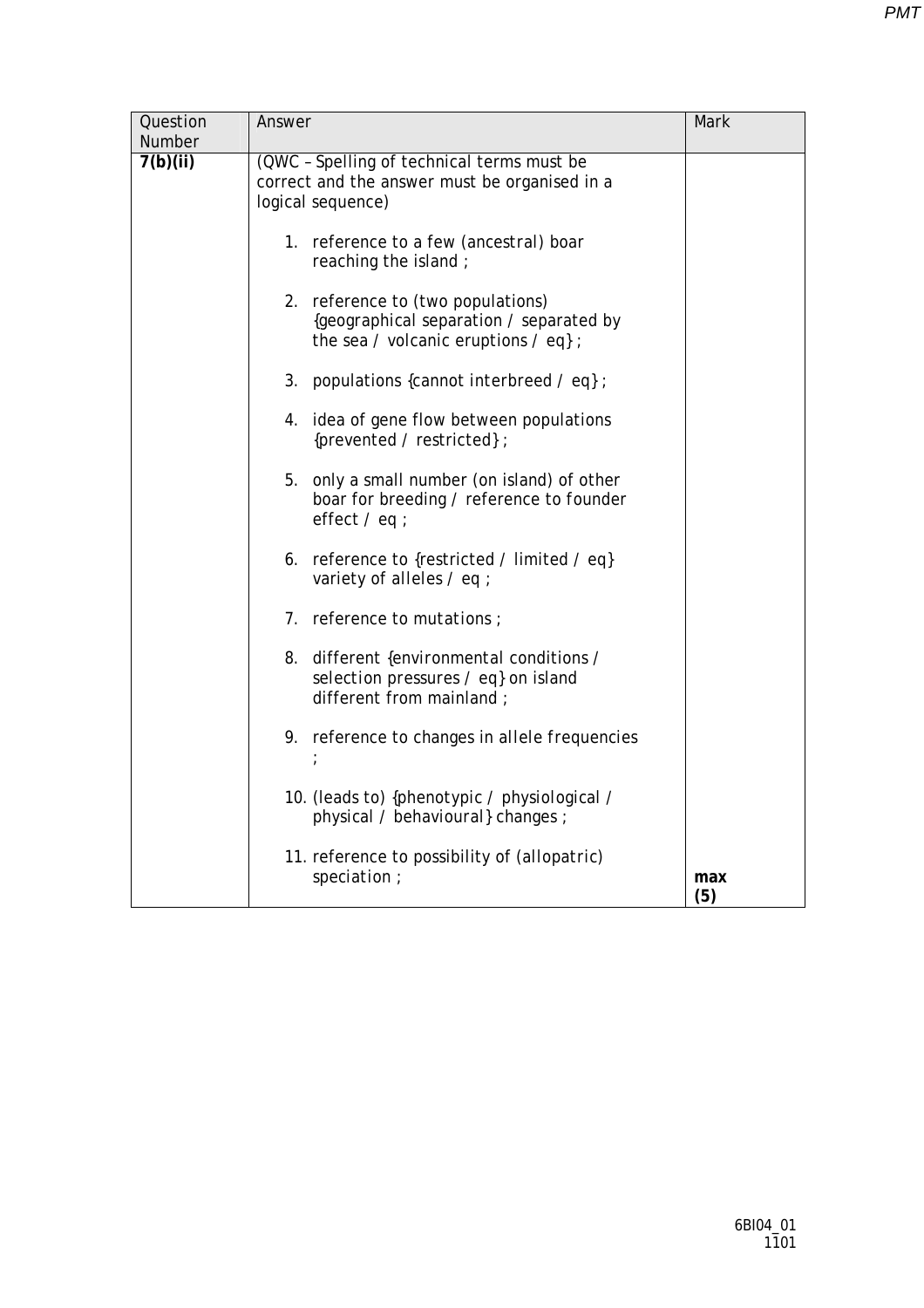| Question | Answer                                                                                                               | Mark       |
|----------|----------------------------------------------------------------------------------------------------------------------|------------|
| Number   |                                                                                                                      |            |
| 7(b)(ii) | (QWC - Spelling of technical terms must be<br>correct and the answer must be organised in a<br>logical sequence)     |            |
|          | 1. reference to a few (ancestral) boar<br>reaching the island;                                                       |            |
|          | 2. reference to (two populations)<br>{geographical separation / separated by<br>the sea / volcanic eruptions / eq} ; |            |
|          | 3.<br>populations {cannot <i>interbreed / eq}</i> ;                                                                  |            |
|          | 4. idea of gene flow between populations<br>{prevented / restricted};                                                |            |
|          | 5.<br>only a small number (on island) of other<br>boar for breeding / reference to founder<br>effect $/$ eq ;        |            |
|          | 6. reference to {restricted / limited / eq}<br>variety of alleles / eq ;                                             |            |
|          | 7. reference to <i>mutations</i> ;                                                                                   |            |
|          | different {environmental conditions /<br>8.<br>selection pressures / eq} on island<br>different from mainland;       |            |
|          | 9. reference to changes in allele frequencies                                                                        |            |
|          | 10. (leads to) { <i>phenotypic / physiological /</i><br>physical / behavioural} changes ;                            |            |
|          | 11. reference to possibility of (allopatric)<br>speciation;                                                          | max<br>(5) |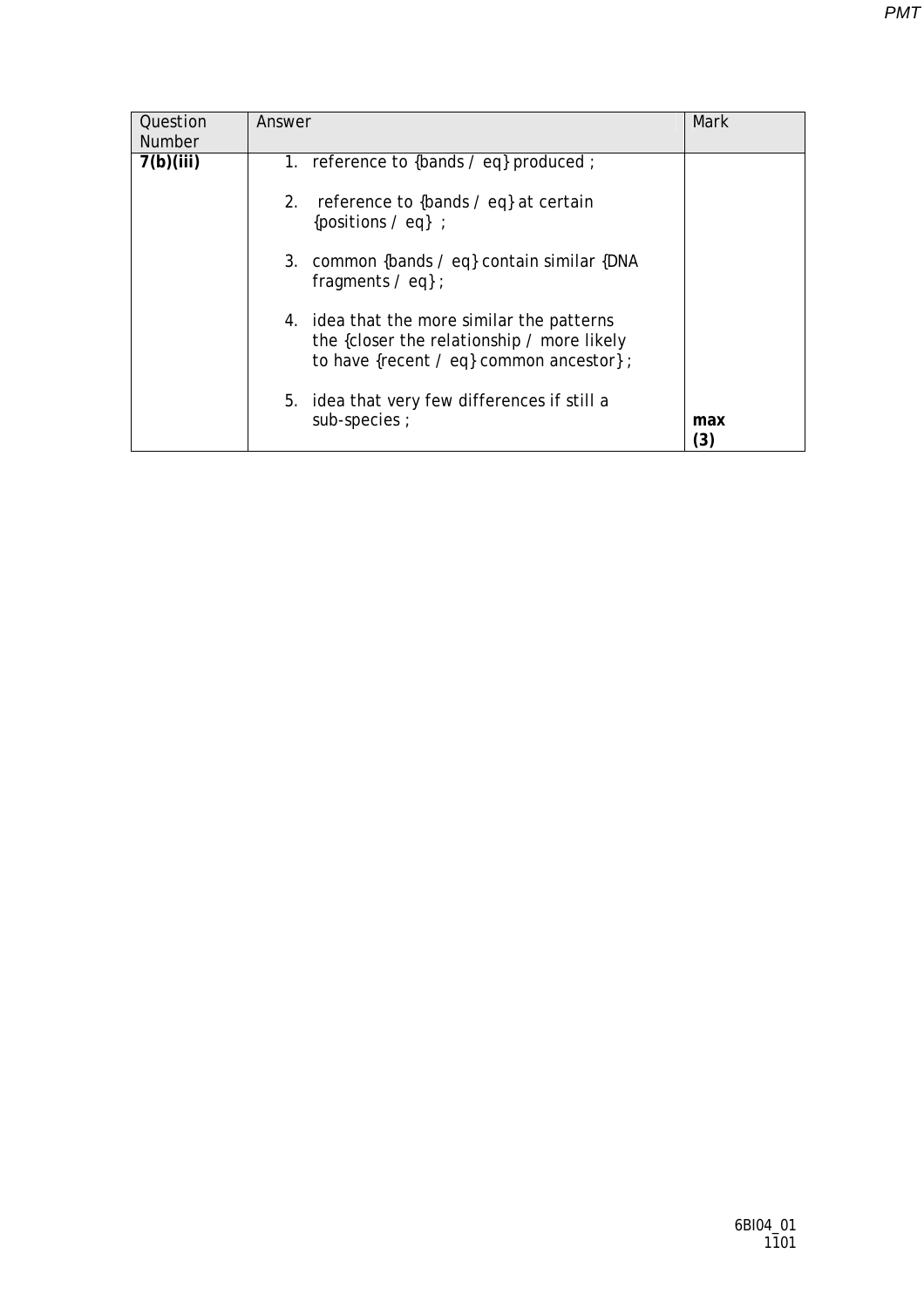| Question      | Answer                                                                                                                               | Mark      |
|---------------|--------------------------------------------------------------------------------------------------------------------------------------|-----------|
| <b>Number</b> |                                                                                                                                      |           |
| 7(b)(iii)     | 1. reference to {bands $\ell$ eq} produced ;                                                                                         |           |
|               | reference to {bands / eq} at certain<br>2.<br>{positions $\angle$ eq} ;                                                              |           |
|               | 3. common {bands / eq} contain similar {DNA<br>fragments $\ell$ eq} ;                                                                |           |
|               | 4. idea that the more similar the patterns<br>the {closer the relationship / more likely<br>to have {recent / eq} common ancestor} ; |           |
|               | idea that very few differences if still a<br>5.<br>sub-species ;                                                                     | max<br>3) |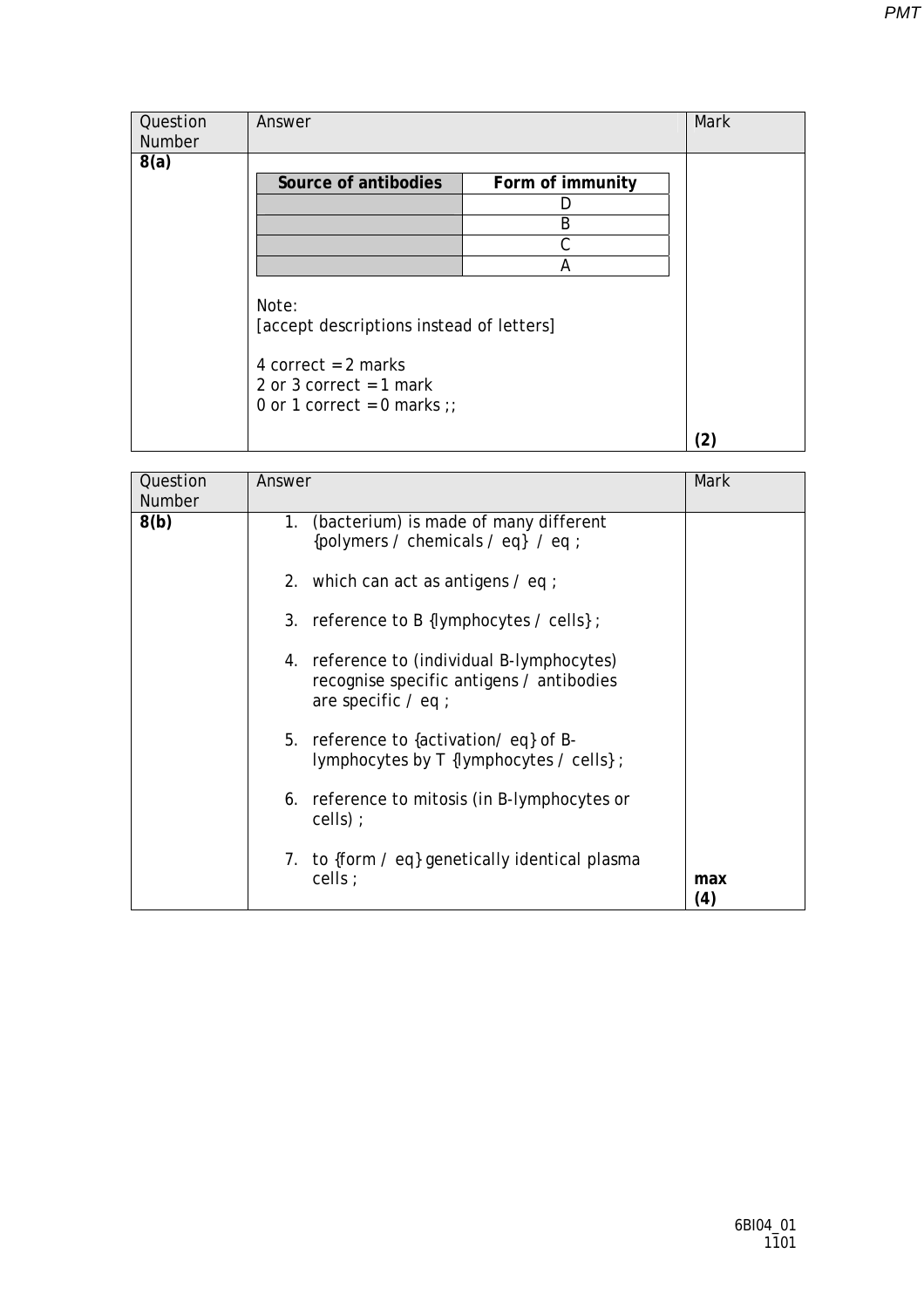| Question | Answer                                                                                                                                 |                  | Mark |
|----------|----------------------------------------------------------------------------------------------------------------------------------------|------------------|------|
| Number   |                                                                                                                                        |                  |      |
| 8(a)     |                                                                                                                                        |                  |      |
|          | Source of antibodies                                                                                                                   | Form of immunity |      |
|          |                                                                                                                                        |                  |      |
|          |                                                                                                                                        | B                |      |
|          |                                                                                                                                        | С                |      |
|          |                                                                                                                                        | А                |      |
|          | Note:<br>[accept descriptions instead of letters]<br>4 correct = $2$ marks<br>2 or 3 correct = $1$ mark<br>0 or 1 correct = 0 marks :: |                  |      |
|          |                                                                                                                                        |                  |      |

| Question<br>Number | Answer                                                                                                          | <b>Mark</b> |
|--------------------|-----------------------------------------------------------------------------------------------------------------|-------------|
| 8(b)               | (bacterium) is made of many different<br>1.<br>{polymers / chemicals / eq} / eq ;                               |             |
|                    | 2. which can act as antigens $\ell$ eq ;                                                                        |             |
|                    | 3. reference to B {lymphocytes $\prime$ cells};                                                                 |             |
|                    | 4. reference to (individual B-lymphocytes)<br>recognise specific antigens / antibodies<br>are specific $/$ eq ; |             |
|                    | 5. reference to {activation/eq} of B-<br>lymphocytes by T {lymphocytes / cells} ;                               |             |
|                    | 6. reference to mitosis (in B-lymphocytes or<br>$cells)$ ;                                                      |             |
|                    | 7. to {form / eq} genetically identical plasma<br>cells $\cdot$                                                 | max<br>(4)  |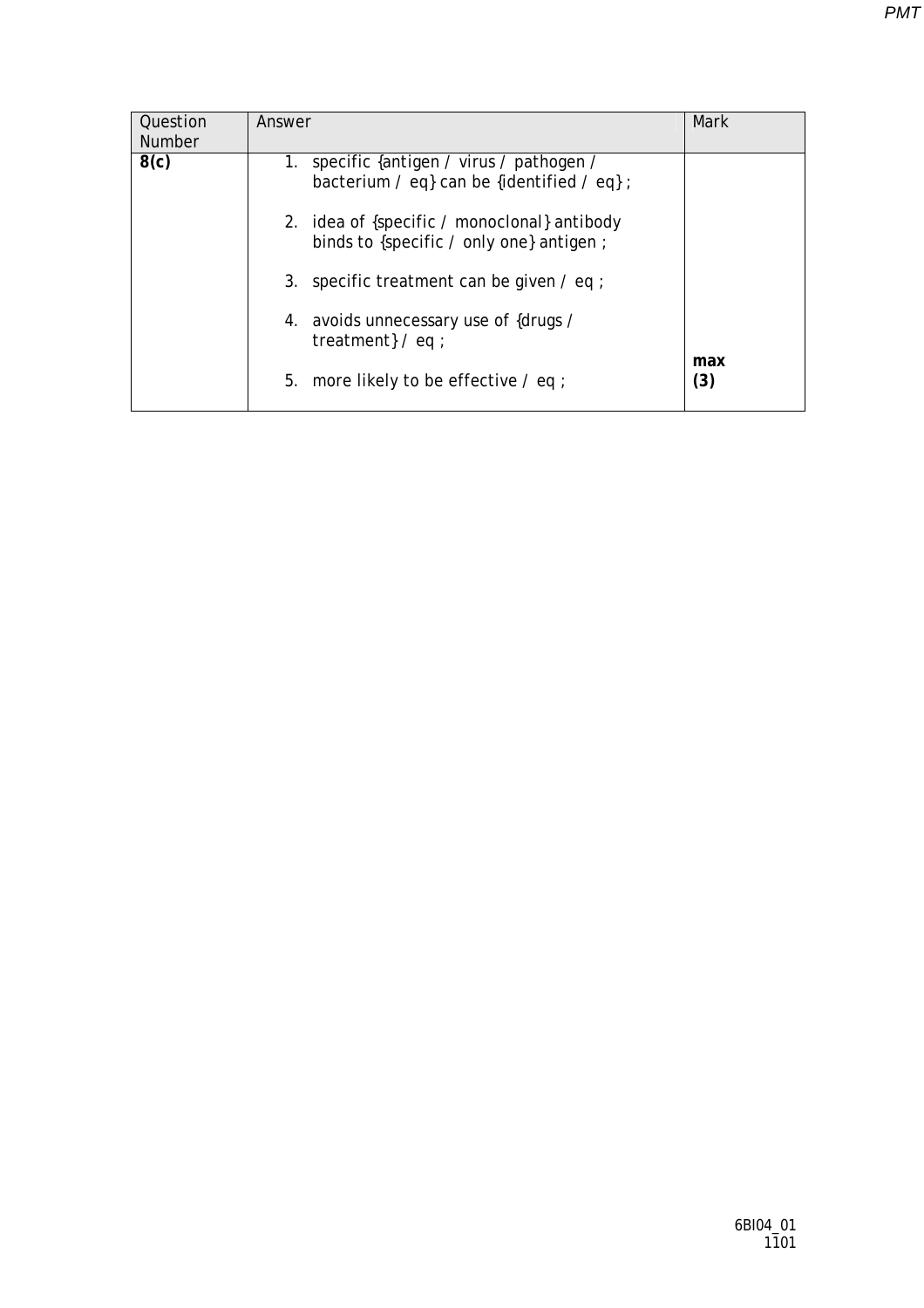| Question<br><b>Number</b> | Answer                                                                                         | Mark       |
|---------------------------|------------------------------------------------------------------------------------------------|------------|
| 8(c)                      | 1. specific {antigen / virus / pathogen /<br>bacterium / eq} can be {identified / eq} ;        |            |
|                           | 2. idea of {specific / monoclonal} antibody<br>binds to {specific $\prime$ only one} antigen ; |            |
|                           | 3. specific treatment can be given $\ell$ eq ;                                                 |            |
|                           | 4. avoids unnecessary use of {drugs /<br>treatment $/$ eq ;                                    |            |
|                           | 5.<br>more likely to be effective $\ell$ eq ;                                                  | max<br>(3) |